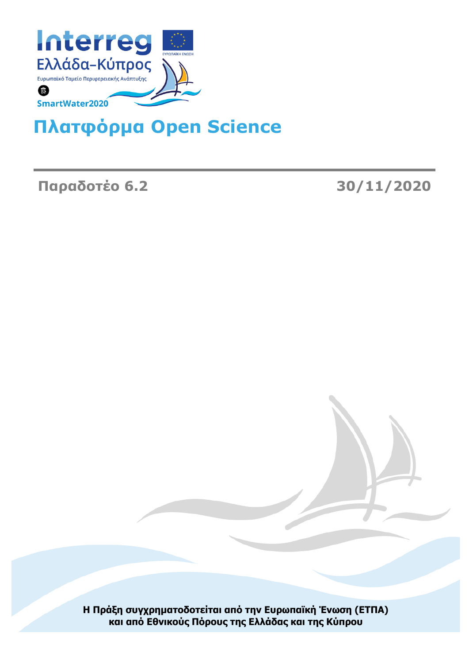

# **Πλατφόρμα Open Science**

**Παραδοτέο 6.2 30/11/2020**

**Η Πράξη συγχρηματοδοτείται από την Ευρωπαϊκή Ένωση (ΕΤΠΑ) και από Εθνικούς Πόρους της Ελλάδας και της Κύπρου**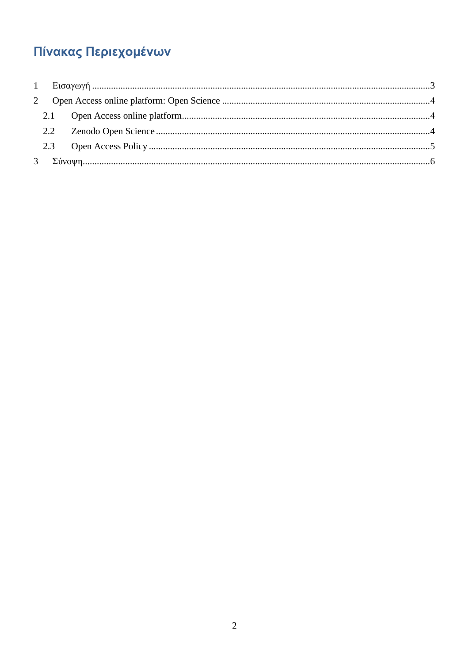# Πίνακας Περιεχομένων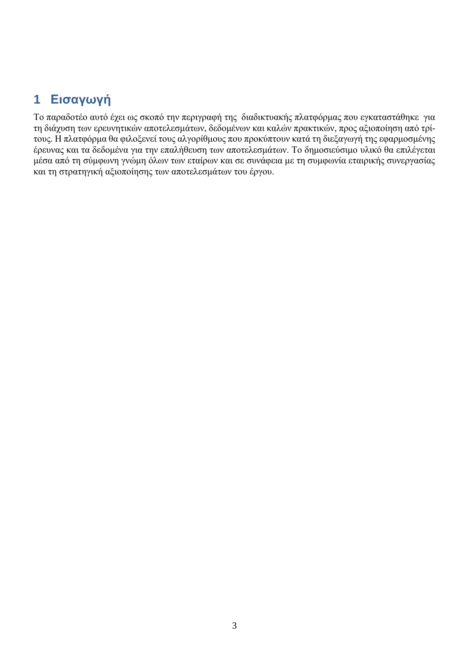# <span id="page-2-0"></span>**1 Εισαγωγή**

Το παραδοτέο αυτό έχει ως σκοπό την περιγραφή της διαδικτυακής πλατφόρμας που εγκαταστάθηκε για τη διάχυση των ερευνητικών αποτελεσμάτων, δεδομένων και καλών πρακτικών, προς αξιοποίηση από τρίτους. Η πλατφόρμα θα φιλοξενεί τους αλγορίθμους που προκύπτουν κατά τη διεξαγωγή της εφαρμοσμένης έρευνας και τα δεδομένα για την επαλήθευση των αποτελεσμάτων. Το δημοσιεύσιμο υλικό θα επιλέγεται μέσα από τη σύμφωνη γνώμη όλων των εταίρων και σε συνάφεια με τη συμφωνία εταιρικής συνεργασίας και τη στρατηγική αξιοποίησης των αποτελεσμάτων του έργου.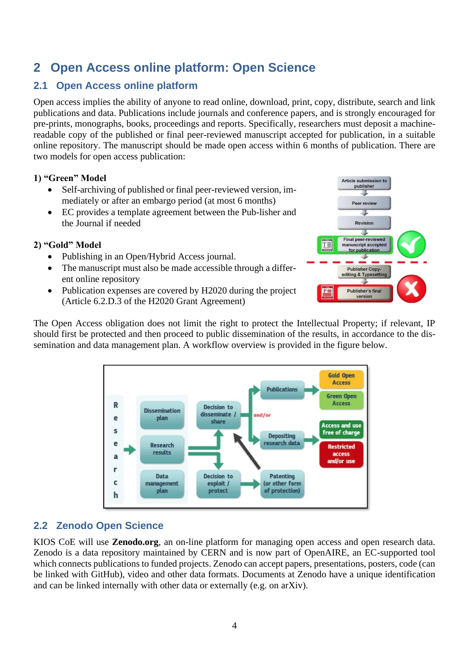## <span id="page-3-0"></span>**2 Open Access online platform: Open Science**

### <span id="page-3-1"></span>**2.1 Open Access online platform**

Open access implies the ability of anyone to read online, download, print, copy, distribute, search and link publications and data. Publications include journals and conference papers, and is strongly encouraged for pre-prints, monographs, books, proceedings and reports. Specifically, researchers must deposit a machinereadable copy of the published or final peer-reviewed manuscript accepted for publication, in a suitable online repository. The manuscript should be made open access within 6 months of publication. There are two models for open access publication:

#### **1) "Green" Model**

- Self-archiving of published or final peer-reviewed version, immediately or after an embargo period (at most 6 months)
- EC provides a template agreement between the Pub-lisher and the Journal if needed

#### **2) "Gold" Model**

- Publishing in an Open/Hybrid Access journal.
- The manuscript must also be made accessible through a different online repository
- Publication expenses are covered by H2020 during the project (Article 6.2.D.3 of the H2020 Grant Agreement)



The Open Access obligation does not limit the right to protect the Intellectual Property; if relevant, IP should first be protected and then proceed to public dissemination of the results, in accordance to the dissemination and data management plan. A workflow overview is provided in the figure below.



### <span id="page-3-2"></span>**2.2 Zenodo Open Science**

KIOS CoE will use **Zenodo.org**, an on-line platform for managing open access and open research data. Zenodo is a data repository maintained by CERN and is now part of OpenAIRE, an EC-supported tool which connects publications to funded projects. Zenodo can accept papers, presentations, posters, code (can be linked with GitHub), video and other data formats. Documents at Zenodo have a unique identification and can be linked internally with other data or externally (e.g. on arXiv).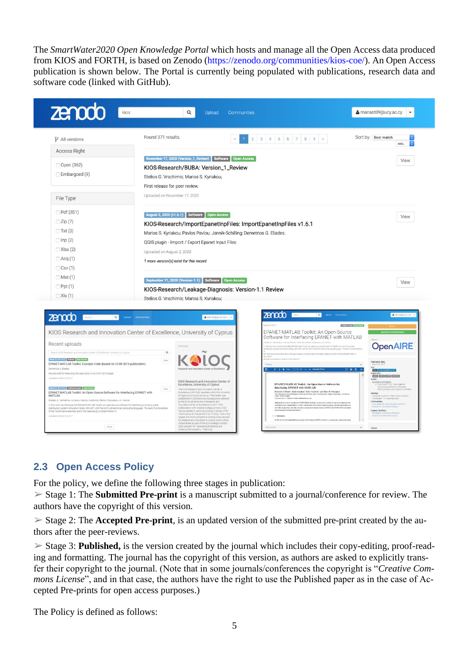The *SmartWater2020 Open Knowledge Portal* which hosts and manage all the Open Access data produced from KIOS and FORTH, is based on Zenodo (https://zenodo.org/communities/kios-coe/). An Open Access publication is shown below. The Portal is currently being populated with publications, research data and software code (linked with GitHub).





### <span id="page-4-0"></span>**2.3 Open Access Policy**

For the policy, we define the following three stages in publication:

➢ Stage 1: The **Submitted Pre-print** is a manuscript submitted to a journal/conference for review. The authors have the copyright of this version.

 $\geq$  Stage 2: The **Accepted Pre-print**, is an updated version of the submitted pre-print created by the authors after the peer-reviews.

➢ Stage 3: **Published,** is the version created by the journal which includes their copy-editing, proof-reading and formatting. The journal has the copyright of this version, as authors are asked to explicitly transfer their copyright to the journal. (Note that in some journals/conferences the copyright is "*Creative Commons License*", and in that case, the authors have the right to use the Published paper as in the case of Accepted Pre-prints for open access purposes.)

The Policy is defined as follows: